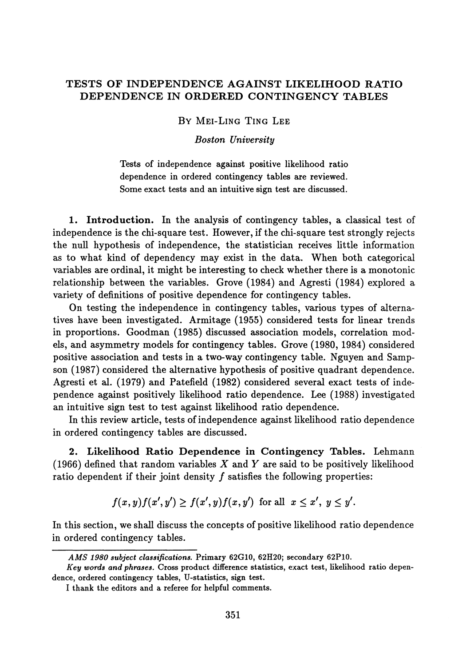# **TESTS OF INDEPENDENCE AGAINST LIKELIHOOD RATIO DEPENDENCE IN ORDERED CONTINGENCY TABLES**

### BY MEI-LING TING LEE

### *Boston University*

Tests of independence against positive likelihood ratio dependence in ordered contingency tables are reviewed. Some exact tests and an intuitive sign test are discussed.

**1. Introduction.** In the analysis of contingency tables, a classical test of independence is the chi-square test. However, if the chi-square test strongly rejects the null hypothesis of independence, the statistician receives little information as to what kind of dependency may exist in the data. When both categorical variables are ordinal, it might be interesting to check whether there is a monotonic relationship between the variables. Grove (1984) and Agresti (1984) explored a variety of definitions of positive dependence for contingency tables.

On testing the independence in contingency tables, various types of alternatives have been investigated. Armitage (1955) considered tests for linear trends in proportions. Goodman (1985) discussed association models, correlation models, and asymmetry models for contingency tables. Grove (1980, 1984) considered positive association and tests in a two-way contingency table. Nguyen and Sampson (1987) considered the alternative hypothesis of positive quadrant dependence. Agresti et al. (1979) and Patefield (1982) considered several exact tests of independence against positively likelihood ratio dependence. Lee (1988) investigated an intuitive sign test to test against likelihood ratio dependence.

In this review article, tests of independence against likelihood ratio dependence in ordered contingency tables are discussed.

**2. Likelihood Ratio Dependence in Contingency Tables.** Lehmann (1966) defined that random variables *X* and *Y* are said to be positively likelihood ratio dependent if their joint density  $f$  satisfies the following properties:

$$
f(x,y)f(x',y') \ge f(x',y)f(x,y') \text{ for all } x \le x', y \le y'.
$$

In this section, we shall discuss the concepts of positive likelihood ratio dependence in ordered contingency tables.

*AMS 1980 subject classifications.* **Primary 62G10, 62H20; secondary 62P10.**

*Key words and phrases.* **Cross product difference statistics, exact test, likelihood ratio dependence, ordered contingency tables, U-statistics, sign test.**

**I thank the editors and a referee for helpful comments.**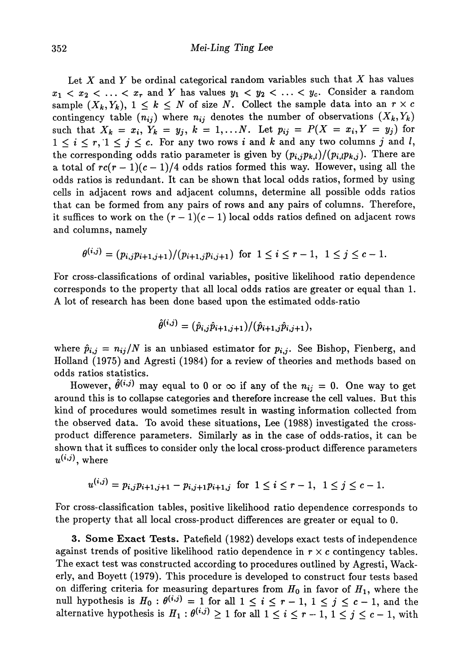Let *X* and *Y* be ordinal categorical random variables such that *X* has values  $x_1 < x_2 < \ldots < x_r$  and *Y* has values  $y_1 < y_2 < \ldots < y_c$ . Consider a random sample  $(X_k, Y_k)$ ,  $1 \leq k \leq N$  of size N. Collect the sample data into an  $r \times c$  $\hbox{contingency table} \ \left(n_{ij}\right) \hbox{ where } \ n_{ij} \hbox{ denotes the number of observations } \left(X_k,Y_k\right)$  ${\rm such\ \ } {\rm that}\ \ X_k \,=\, x_i,\ Y_k \,=\, y_j,\ k \,=\, 1,\ldots N. \ \ \ {\rm Let}\ \ p_{ij} \,=\, P(X \,=\, x_i, Y \,=\, y_j) \, \ {\rm for}\ \,$  $1 \leq i \leq r, 1 \leq j \leq c$ . For any two rows i and k and any two columns j and l, the corresponding odds ratio parameter is given by  $(p_{i,j}p_{k,l})/(p_{i,l}p_{k,j})$ . There are a total of  $rc(r-1)(c-1)/4$  odds ratios formed this way. However, using all the odds ratios is redundant. It can be shown that local odds ratios, formed by using cells in adjacent rows and adjacent columns, determine all possible odds ratios that can be formed from any pairs of rows and any pairs of columns. Therefore, it suffices to work on the  $(r-1)(c-1)$  local odds ratios defined on adjacent rows and columns, namely

$$
\theta^{(i,j)} = (p_{i,j}p_{i+1,j+1})/(p_{i+1,j}p_{i,j+1}) \text{ for } 1 \leq i \leq r-1, 1 \leq j \leq c-1.
$$

For cross-classifications of ordinal variables, positive likelihood ratio dependence corresponds to the property that all local odds ratios are greater or equal than 1. A lot of research has been done based upon the estimated odds-ratio

$$
\hat{\theta}^{(i,j)} = (\hat{p}_{i,j}\hat{p}_{i+1,j+1})/(\hat{p}_{i+1,j}\hat{p}_{i,j+1}),
$$

where  $\hat{p}_{i,j} = n_{ij}/N$  is an unbiased estimator for  $p_{i,j}$ . See Bishop, Fienberg, and Holland (1975) and Agresti (1984) for a review of theories and methods based on odds ratios statistics.

However,  $\theta^{(i,j)}$  may equal to 0 or  $\infty$  if any of the  $n_{ij} = 0$ . One way to get around this is to collapse categories and therefore increase the cell values. But this kind of procedures would sometimes result in wasting information collected from the observed data. To avoid these situations, Lee (1988) investigated the cross product difference parameters. Similarly as in the case of odds-ratios, it can be shown that it suffices to consider only the local cross-product difference parameters  $u^{(i,j)}$ , where

$$
u^{(i,j)} = p_{i,j}p_{i+1,j+1} - p_{i,j+1}p_{i+1,j} \text{ for } 1 \le i \le r-1, 1 \le j \le c-1.
$$

For cross-classification tables, positive likelihood ratio dependence corresponds to the property that all local cross-product differences are greater or equal to 0.

3. Some **Exact Tests.** Patefield (1982) develops exact tests of independence against trends of positive likelihood ratio dependence in *r* x c contingency tables. The exact test was constructed according to procedures outlined by Agresti, Wack erly, and Boyett (1979). This procedure is developed to construct four tests based on differing criteria for measuring departures from  $H_0$  in favor of  $H_1$ , where the null hypothesis is  $H_0: \theta^{(i,j)} = 1$  for all  $1 \le i \le r - 1$ ,  $1 \le j \le c - 1$ , and the alternative hypothesis is  $H_1: \theta^{(i,j)} \geq 1$  for all  $1 \leq i \leq r-1, 1 \leq j \leq c-1$ , with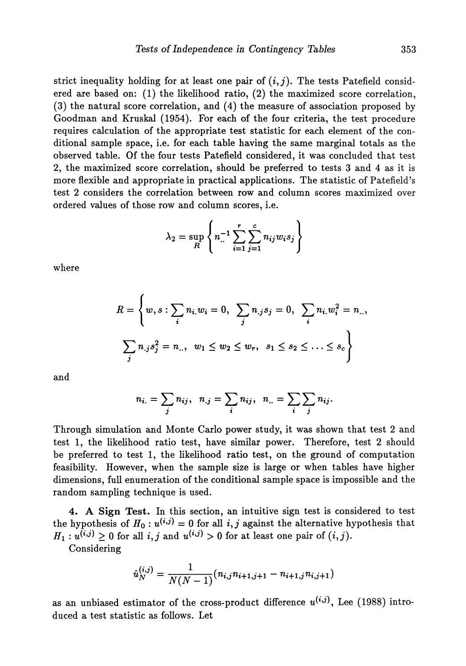strict inequality holding for at least one pair of  $(i, j)$ . The tests Patefield considered are based on: (1) the likelihood ratio, (2) the maximized score correlation, (3) the natural score correlation, and (4) the measure of association proposed by Goodman and Kruskal (1954). For each of the four criteria, the test procedure requires calculation of the appropriate test statistic for each element of the con ditional sample space, i.e. for each table having the same marginal totals as the observed table. Of the four tests Patefield considered, it was concluded that test 2, the maximized score correlation, should be preferred to tests 3 and 4 as it is more flexible and appropriate in practical applications. The statistic of Patefield's test 2 considers the correlation between row and column scores maximized over ordered values of those row and column scores, i.e.

$$
\lambda_2 = \sup_R \left\{ n \cdot \sum_{i=1}^r \sum_{j=1}^c n_{ij} w_i s_j \right\}
$$

where

$$
R = \left\{ w, s : \sum_{i} n_{i.} w_{i} = 0, \sum_{j} n_{.j} s_{j} = 0, \sum_{i} n_{i.} w_{i}^{2} = n_{..}, \sum_{j} n_{.j} s_{j}^{2} = n_{..}, w_{1} \le w_{2} \le w_{r}, s_{1} \le s_{2} \le ... \le s_{c} \right\}
$$

and

$$
n_{i.} = \sum_{j} n_{ij}, \ \ n_{.j} = \sum_{i} n_{ij}, \ \ n_{..} = \sum_{i} \sum_{j} n_{ij}.
$$

Through simulation and Monte Carlo power study, it was shown that test 2 and test 1, the likelihood ratio test, have similar power. Therefore, test 2 should be preferred to test 1, the likelihood ratio test, on the ground of computation feasibility. However, when the sample size is large or when tables have higher dimensions, full enumeration of the conditional sample space is impossible and the random sampling technique is used.

**4. A Sign Test.** In this section, an intuitive sign test is considered to test the hypothesis of  $H_0: u^{(i,j)} = 0$  for all i, j against the alternative hypothesis that  $H_1: u^{(i,j)} \geq 0$  for all  $i, j$  and  $u^{(i,j)} > 0$  for at least one pair of  $(i, j)$ .

Considering

$$
\hat{u}_N^{(i,j)} = \frac{1}{N(N-1)}(n_{i,j}n_{i+1,j+1} - n_{i+1,j}n_{i,j+1})
$$

as an unbiased estimator of the cross-product difference  $u^{(i,j)}$ , Lee (1988) introduced a test statistic as follows. Let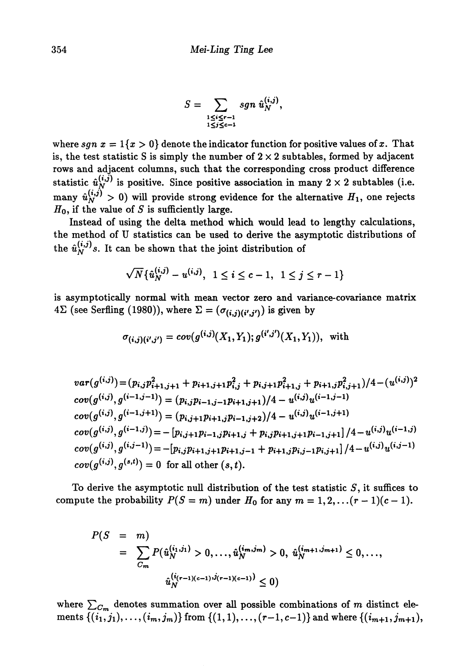$$
S=\sum_{\substack{1\leq i\leq r-1\\1\leq j\leq c-1}}sgn \hat{u}_N^{(i,j)},
$$

where  $sgn x = 1\{x > 0\}$  denote the indicator function for positive values of x. That is, the test statistic S is simply the number of  $2 \times 2$  subtables, formed by adjacent **rows and adjacent columns, such that the corresponding cross product difference** statistic  $\hat{u}_N^{(i, \tilde{j})}$  is positive. Since positive association in many  $2 \times 2$  subtables (i.e. many  $\hat{u}^{(i,j)}_N > 0$ ) will provide strong evidence for the alternative  $H_1$ , one rejects *Ho,* **if the value of** *S* **is sufficiently large.**

**Instead of using the delta method which would lead to lengthy calculations, the method of U statistics can be used to derive the asymptotic distributions of** the  $\hat{u}_N^{(i,j)}$ s. It can be shown that the joint distribution of

$$
\sqrt{N} \{ \hat{u}_N^{(i,j)} - u^{(i,j)}, \ 1 \leq i \leq c-1, \ 1 \leq j \leq r-1 \}
$$

**is asymptotically normal with mean vector zero and variance-covariance matrix**  $4\Sigma$  (see Serfling (1980)), where  $\Sigma = (\sigma_{(i,j)(i',j')})$  is given by

$$
\sigma_{(i,j)(i',j')} = cov(g^{(i,j)}(X_1,Y_1); g^{(i',j')}(X_1,Y_1)), \text{ with }
$$

 $var(g^{(i,j)}) \! = \! (p_{i,j}p_{i+1,j+1}^2 + p_{i+1,j+1}p_{i,j}^2 + p_{i,j+1}p_{i+1,j}^2 + p_{i+1,j}p_{i,j+1}^2)/4 - (u^{(i,j)})^2$  $cov(g^{(i,j)},g^{(i-1,j-1)}) = (p_{i,j}p_{i-1,j-1}p_{i+1,j+1})/4 - u^{(i,j)}u^{(i-1,j-1)}$  $cov(g^{(i,j)}, g^{(i-1,j+1)}) = (p_{i,j+1}p_{i+1,j}p_{i-1,j+2})/4 - u^{(i,j)}u^{(i-1,j+1)}$  $+ p_{i,j} p_{i+1,j+1} p_{i-1,j+1} \rfloor / 4 - u^{(i,j)} u^{(i-1,j)}$  $cov(g^{(i,j)}, g^{(s,t)}) = 0$  for all other  $(s,t)$ .

**To derive the asymptotic null distribution of the test statistic 5, it suffices to** compute the probability  $P(S = m)$  under  $H_0$  for any  $m = 1, 2, \ldots (r-1)(c-1)$ .

$$
P(S = m)
$$
  
=  $\sum_{C_m} P(\hat{u}_N^{(i_1,j_1)} > 0, ..., \hat{u}_N^{(i_m,j_m)} > 0, \hat{u}_N^{(i_{m+1},j_{m+1})} \le 0, ...,$   
 $\hat{u}_N^{(i_{(r-1)(c-1)},j_{(r-1)(c-1)})} \le 0$ )

where  $\sum_{C_{\bm{m}}}$  denotes summation over all possible combinations of  $m$  distinct ele  $\text{ments } \{(i_1,j_1),\ldots,(i_m,j_m)\} \text{ from } \{(1,1),\ldots,(r-1,c-1)\} \text{ and where } \{ (i_{m+1},j_{m+1}),$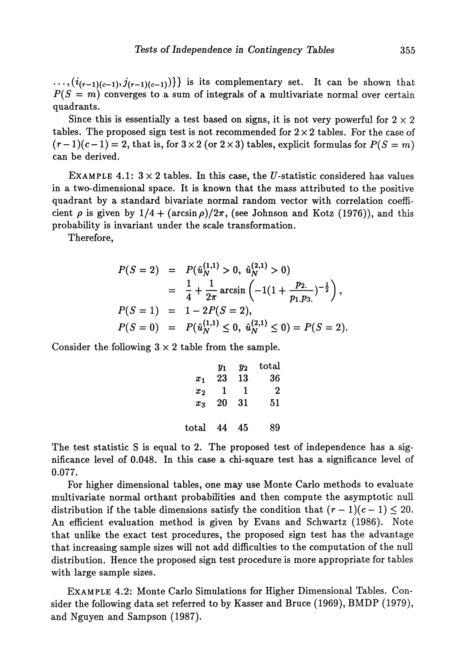$\ldots, (i_{(r-1)(c-1)}, j_{(r-1)(c-1)})\}$  is its complementary set. It can be shown that  $P(S = m)$  converges to a sum of integrals of a multivariate normal over certain quadrants.

Since this is essentially a test based on signs, it is not very powerful for  $2 \times 2$ tables. The proposed sign test is not recommended for  $2 \times 2$  tables. For the case of  $(r-1)(c-1) = 2$ , that is, for  $3 \times 2$  (or  $2 \times 3$ ) tables, explicit formulas for  $P(S = m)$ can be derived.

EXAMPLE 4.1:  $3 \times 2$  tables. In this case, the *U*-statistic considered has values in a two-dimensional space. It is known that the mass attributed to the positive quadrant by a standard bivariate normal random vector with correlation coeffi cient  $\rho$  is given by  $1/4 + (\arcsin \rho)/2\pi$ , (see Johnson and Kotz (1976)), and this probability is invariant under the scale transformation.

Therefore,

$$
P(S = 2) = P(\hat{u}_N^{(1,1)} > 0, \ \hat{u}_N^{(2,1)} > 0)
$$
  
=  $\frac{1}{4} + \frac{1}{2\pi} \arcsin\left(-1(1 + \frac{p_{2}}{p_{1}.p_{3.}})^{-\frac{1}{2}}\right),$   

$$
P(S = 1) = 1 - 2P(S = 2),
$$
  

$$
P(S = 0) = P(\hat{u}_N^{(1,1)} \le 0, \ \hat{u}_N^{(2,1)} \le 0) = P(S = 2).
$$

Consider the following  $3 \times 2$  table from the sample.

|                | Y1 | $y_2$ | $_{\rm total}$ |
|----------------|----|-------|----------------|
| $x_1$          | 23 | 13    | 36             |
| $x_2$          | 1  | 1     | 2              |
| $x_2$          | 20 | 31    | 51             |
|                |    |       |                |
| $_{\rm total}$ | 44 | 45    | 89             |

The test statistic S is equal to 2. The proposed test of independence has a sig nificance level of 0.048. In this case a chi-square test has a significance level of 0.077.

For higher dimensional tables, one may use Monte Carlo methods to evaluate multivariate normal orthant probabilities and then compute the asymptotic null distribution if the table dimensions satisfy the condition that  $(r-1)(c-1) \leq 20$ . An efficient evaluation method is given by Evans and Schwartz (1986). Note that unlike the exact test procedures, the proposed sign test has the advantage that increasing sample sizes will not add difficulties to the computation of the null distribution. Hence the proposed sign test procedure is more appropriate for tables with large sample sizes.

EXAMPLE 4.2: Monte Carlo Simulations for Higher Dimensional Tables. Con sider the following data set referred to by Kasser and Bruce (1969), BMDP (1979), and Nguyen and Sampson (1987).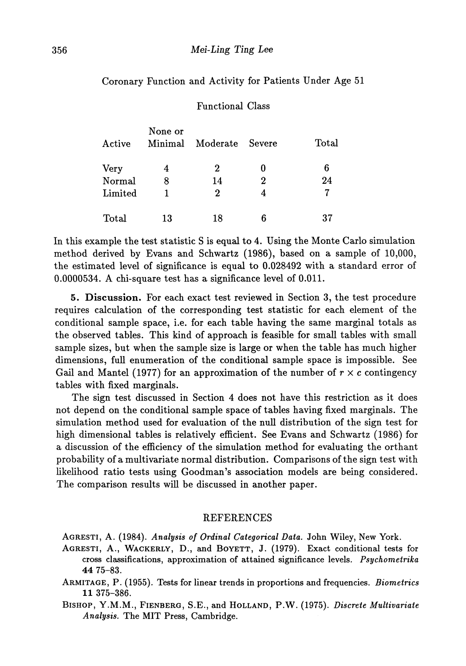# Coronary Function and Activity for Patients Under Age 51

## Functional Class

| Active  | None or<br>Minimal | Moderate Severe |                  | Total |
|---------|--------------------|-----------------|------------------|-------|
| Very    | 4                  | 2               |                  | 6     |
| Normal  | 8                  | 14              | $\boldsymbol{2}$ | 24    |
| Limited |                    | 2               | 4                |       |
| Total   | 13                 | 18              | հ                | 37    |

In this example the test statistic S is equal to 4. Using the Monte Carlo simulation method derived by Evans and Schwartz (1986), based on a sample of 10,000, the estimated level of significance is equal to 0.028492 with a standard error of 0.0000534. A chi-square test has a significance level of 0.011.

5. Discussion. For each exact test reviewed in Section 3, the test procedure requires calculation of the corresponding test statistic for each element of the conditional sample space, i.e. for each table having the same marginal totals as the observed tables. This kind of approach is feasible for small tables with small sample sizes, but when the sample size is large or when the table has much higher dimensions, full enumeration of the conditional sample space is impossible. See Gail and Mantel (1977) for an approximation of the number of  $r \times c$  contingency tables with fixed marginals.

The sign test discussed in Section 4 does not have this restriction as it does not depend on the conditional sample space of tables having fixed marginals. The simulation method used for evaluation of the null distribution of the sign test for high dimensional tables is relatively efficient. See Evans and Schwartz (1986) for a discussion of the efficiency of the simulation method for evaluating the orthant probability of a multivariate normal distribution. Comparisons of the sign test with likelihood ratio tests using Goodman's association models are being considered. The comparison results will be discussed in another paper.

### REFERENCES

AGRESTI, A. (1984). *Analysis of Ordinal Categorical Data.* John Wiley, New York.

- AGRESTI, A., WACKERLY, D., and BOYETT, J. (1979). Exact conditional tests for cross classifications, approximation of attained significance levels. *Psychometrika* 44 75-83.
- ARMITAGE, P. (1955). Tests for linear trends in proportions and frequencies. *Biometrics* 11 375-386.
- BISHOP, Y.M.M., FIENBERG, S.E., and HOLLAND, P.W. (1975). *Discrete Multivariate Analysis.* The MIT Press, Cambridge.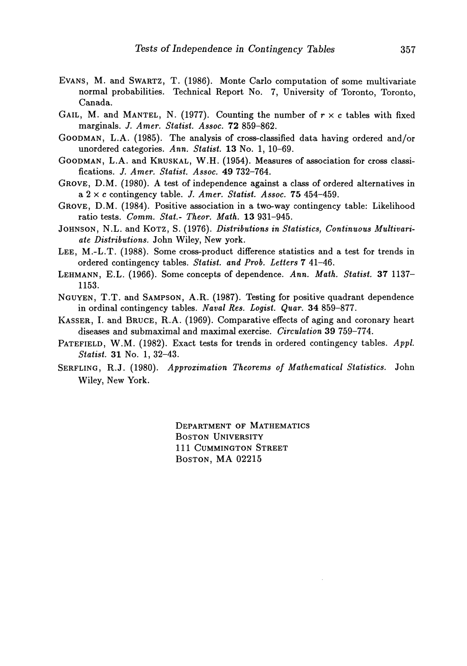- EVANS, M. and SWARTZ, T. (1986). Monte Carlo computation of some multivariate normal probabilities. Technical Report No. 7, University of Toronto, Toronto, Canada.
- GAIL, M. and MANTEL, N. (1977). Counting the number of  $r \times c$  tables with fixed marginals. *J. Amer. Statist. Assoc.* **72** 859-862.
- GOODMAN, L.A. (1985). The analysis of cross-classified data having ordered and/or unordered categories. *Ann. Statist.* 13 No. 1, 10-69.
- GOODMAN, L.A. and KRUSKAL, W.H. (1954). Measures of association for cross classi fications. *J. Amer. Statist. Assoc.* 49 732-764.
- GROVE, D.M. (1980). A test of independence against a class of ordered alternatives in a 2 x c contingency table. *J. Amer. Statist. Assoc.* 75 454-459.
- GROVE, D.M. (1984). Positive association in a two-way contingency table: Likelihood ratio tests. *Comm. Stat- Theor. Math.* 13 931-945.
- JOHNSON, N.L. and KOTZ, S. (1976). *Distributions in Statistics, Continuous Multivariate Distributions.* John Wiley, New york.
- LEE, M.-L.T. (1988). Some cross-product difference statistics and a test for trends in ordered contingency tables. *Statist, and Prob. Letters 7* 41-46.
- LEHMANN, E.L. (1966). Some concepts of dependence. *Ann. Math. Statist.* 37 1137 1153.
- NGUYEN, T.T. and SAMPSON, A.R. (1987). Testing for positive quadrant dependence in ordinal contingency tables. *Naval Res. Logist. Quar.* 34 859-877.
- KASSER, I. and BRUCE, R.A. (1969). Comparative effects of aging and coronary heart diseases and submaximal and maximal exercise. *Circulation* 39 759-774.
- PATEFIELD, W.M. (1982). Exact tests for trends in ordered contingency tables. *Appl. Statist.* 31 No. 1, 32-43.
- SERFLING, R.J. (1980). *Approximation Theorems of Mathematical Statistics.* John Wiley, New York.

DEPARTMENT OF MATHEMATICS BOSTON UNIVERSITY 111 CUMMINGTON STREET BOSTON, MA 02215